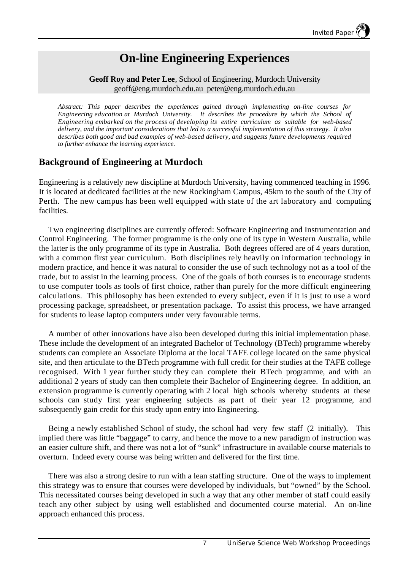# **On-line Engineering Experiences**

#### **Geoff Roy and Peter Lee**, School of Engineering, Murdoch University geoff@eng.murdoch.edu.au peter@eng.murdoch.edu.au

*Abstract: This paper describes the experiences gained through implementing on-line courses for Engineering education at Murdoch University. It describes the procedure by which the School of Engineering embarked on the process of developing its entire curriculum as suitable for web-based delivery, and the important considerations that led to a successful implementation of this strategy. It also describes both good and bad examples of web-based delivery, and suggests future developments required to further enhance the learning experience.*

# **Background of Engineering at Murdoch**

Engineering is a relatively new discipline at Murdoch University, having commenced teaching in 1996. It is located at dedicated facilities at the new Rockingham Campus, 45km to the south of the City of Perth. The new campus has been well equipped with state of the art laboratory and computing facilities.

Two engineering disciplines are currently offered: Software Engineering and Instrumentation and Control Engineering. The former programme is the only one of its type in Western Australia, while the latter is the only programme of its type in Australia. Both degrees offered are of 4 years duration, with a common first year curriculum. Both disciplines rely heavily on information technology in modern practice, and hence it was natural to consider the use of such technology not as a tool of the trade, but to assist in the learning process. One of the goals of both courses is to encourage students to use computer tools as tools of first choice, rather than purely for the more difficult engineering calculations. This philosophy has been extended to every subject, even if it is just to use a word processing package, spreadsheet, or presentation package. To assist this process, we have arranged for students to lease laptop computers under very favourable terms.

A number of other innovations have also been developed during this initial implementation phase. These include the development of an integrated Bachelor of Technology (BTech) programme whereby students can complete an Associate Diploma at the local TAFE college located on the same physical site, and then articulate to the BTech programme with full credit for their studies at the TAFE college recognised. With 1 year further study they can complete their BTech programme, and with an additional 2 years of study can then complete their Bachelor of Engineering degree. In addition, an extension programme is currently operating with 2 local high schools whereby students at these schools can study first year engineering subjects as part of their year 12 programme, and subsequently gain credit for this study upon entry into Engineering.

Being a newly established School of study, the school had very few staff (2 initially). This implied there was little "baggage" to carry, and hence the move to a new paradigm of instruction was an easier culture shift, and there was not a lot of "sunk" infrastructure in available course materials to overturn. Indeed every course was being written and delivered for the first time.

There was also a strong desire to run with a lean staffing structure. One of the ways to implement this strategy was to ensure that courses were developed by individuals, but "owned" by the School. This necessitated courses being developed in such a way that any other member of staff could easily teach any other subject by using well established and documented course material. An on-line approach enhanced this process.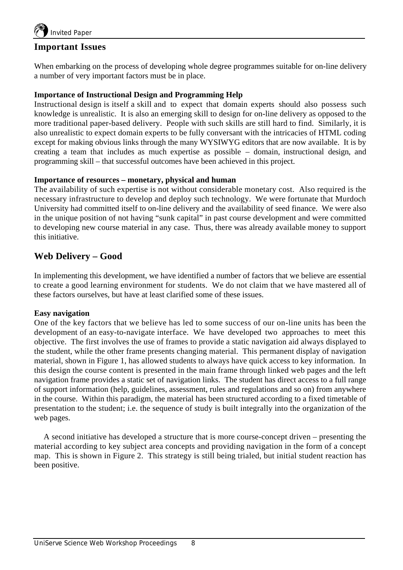

# **Important Issues**

When embarking on the process of developing whole degree programmes suitable for on-line delivery a number of very important factors must be in place.

#### **Importance of Instructional Design and Programming Help**

Instructional design is itself a skill and to expect that domain experts should also possess such knowledge is unrealistic. It is also an emerging skill to design for on-line delivery as opposed to the more traditional paper-based delivery. People with such skills are still hard to find. Similarly, it is also unrealistic to expect domain experts to be fully conversant with the intricacies of HTML coding except for making obvious links through the many WYSIWYG editors that are now available. It is by creating a team that includes as much expertise as possible – domain, instructional design, and programming skill – that successful outcomes have been achieved in this project.

#### **Importance of resources – monetary, physical and human**

The availability of such expertise is not without considerable monetary cost. Also required is the necessary infrastructure to develop and deploy such technology. We were fortunate that Murdoch University had committed itself to on-line delivery and the availability of seed finance. We were also in the unique position of not having "sunk capital" in past course development and were committed to developing new course material in any case. Thus, there was already available money to support this initiative.

# **Web Delivery – Good**

In implementing this development, we have identified a number of factors that we believe are essential to create a good learning environment for students. We do not claim that we have mastered all of these factors ourselves, but have at least clarified some of these issues.

#### **Easy navigation**

One of the key factors that we believe has led to some success of our on-line units has been the development of an easy-to-navigate interface. We have developed two approaches to meet this objective. The first involves the use of frames to provide a static navigation aid always displayed to the student, while the other frame presents changing material. This permanent display of navigation material, shown in Figure 1, has allowed students to always have quick access to key information. In this design the course content is presented in the main frame through linked web pages and the left navigation frame provides a static set of navigation links. The student has direct access to a full range of support information (help, guidelines, assessment, rules and regulations and so on) from anywhere in the course. Within this paradigm, the material has been structured according to a fixed timetable of presentation to the student; i.e. the sequence of study is built integrally into the organization of the web pages.

A second initiative has developed a structure that is more course-concept driven – presenting the material according to key subject area concepts and providing navigation in the form of a concept map. This is shown in Figure 2. This strategy is still being trialed, but initial student reaction has been positive.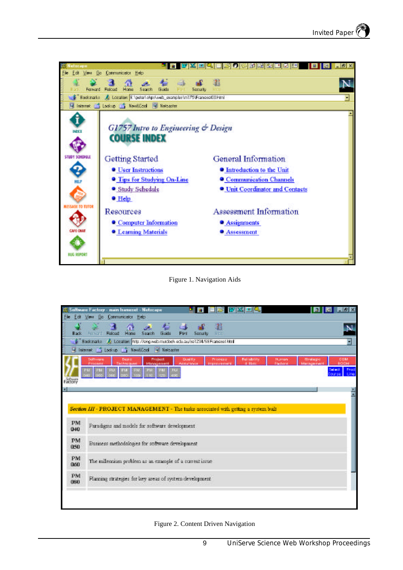

Figure 1. Navigation Aids

| File                                       | oftware Factory - main framezet - Netscape<br>Edit View Bo Communicator Help                                                         |                                     | <b>MXIE</b>                       |                                                       |                 | $-19$ X               |
|--------------------------------------------|--------------------------------------------------------------------------------------------------------------------------------------|-------------------------------------|-----------------------------------|-------------------------------------------------------|-----------------|-----------------------|
| Back                                       | <b>Franchi Reload</b><br>Home<br>Search<br>Guide                                                                                     | <b>Security</b>                     | а<br><b>State</b>                 |                                                       |                 | <b>IN</b>             |
|                                            | Bookmarke A: Location http://ong.wab.mudbch.edu.au/se1234/SEFrancest.html                                                            |                                     |                                   |                                                       |                 |                       |
| U Internet C Lookup C NewsCool U Netcaster |                                                                                                                                      |                                     |                                   |                                                       |                 |                       |
|                                            | Project<br><b>Software</b><br><b>Beat</b> of<br>Management                                                                           | <b>Quality</b><br><b>EXECUTIVES</b> | Property<br><b>SERVICE DISPOS</b> | <b>Nationally</b><br><b>Human</b><br><b>Court and</b> | <b>Brategic</b> | COM<br><b>DOITEU</b>  |
|                                            | PM.<br><b>PHF</b><br><b>TILL</b><br>-45.0<br>53                                                                                      |                                     |                                   |                                                       |                 | <b>Select</b><br>Lino |
| Factory                                    |                                                                                                                                      |                                     |                                   |                                                       |                 |                       |
|                                            |                                                                                                                                      |                                     |                                   |                                                       |                 |                       |
| PM<br>040                                  | Section III - PROJECT MANAGEMENT - The tasks associated with getting a system bull<br>Paradigns and models for software development. |                                     |                                   |                                                       |                 |                       |
| PM<br>050                                  | Business methodologies for software development                                                                                      |                                     |                                   |                                                       |                 |                       |
| PM<br>060                                  | The milencium problem as an example of a current issue                                                                               |                                     |                                   |                                                       |                 |                       |
| PM<br>080                                  | Planning strategies for key areas of system development                                                                              |                                     |                                   |                                                       |                 |                       |
|                                            |                                                                                                                                      |                                     |                                   |                                                       |                 |                       |
|                                            |                                                                                                                                      |                                     |                                   |                                                       |                 |                       |

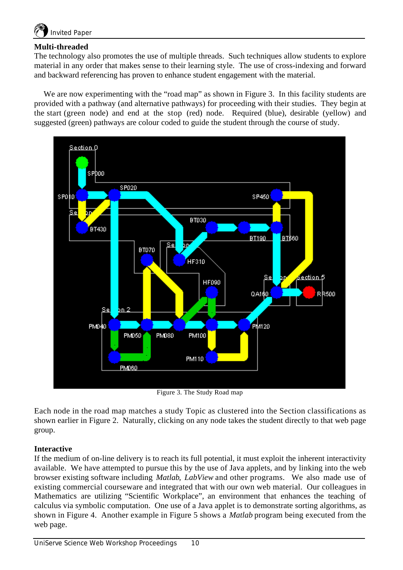

#### **Multi-threaded**

The technology also promotes the use of multiple threads. Such techniques allow students to explore material in any order that makes sense to their learning style. The use of cross-indexing and forward and backward referencing has proven to enhance student engagement with the material.

We are now experimenting with the "road map" as shown in Figure 3. In this facility students are provided with a pathway (and alternative pathways) for proceeding with their studies. They begin at the start (green node) and end at the stop (red) node. Required (blue), desirable (yellow) and suggested (green) pathways are colour coded to guide the student through the course of study.



Figure 3. The Study Road map

Each node in the road map matches a study Topic as clustered into the Section classifications as shown earlier in Figure 2. Naturally, clicking on any node takes the student directly to that web page group.

#### **Interactive**

If the medium of on-line delivery is to reach its full potential, it must exploit the inherent interactivity available. We have attempted to pursue this by the use of Java applets, and by linking into the web browser existing software including *Matlab*, *LabView* and other programs. We also made use of existing commercial courseware and integrated that with our own web material. Our colleagues in Mathematics are utilizing "Scientific Workplace", an environment that enhances the teaching of calculus via symbolic computation. One use of a Java applet is to demonstrate sorting algorithms, as shown in Figure 4. Another example in Figure 5 shows a *Matlab* program being executed from the web page.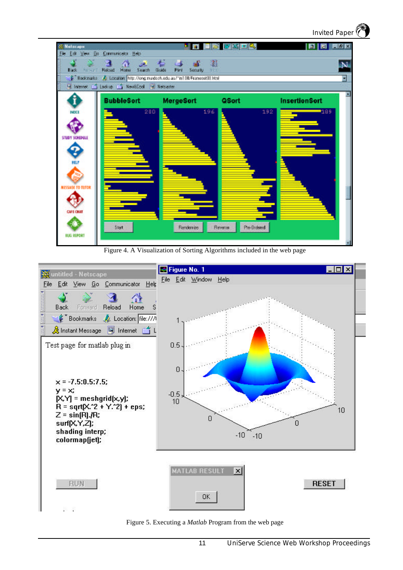

Figure 4. A Visualization of Sorting Algorithms included in the web page



Figure 5. Executing a *Matlab* Program from the web page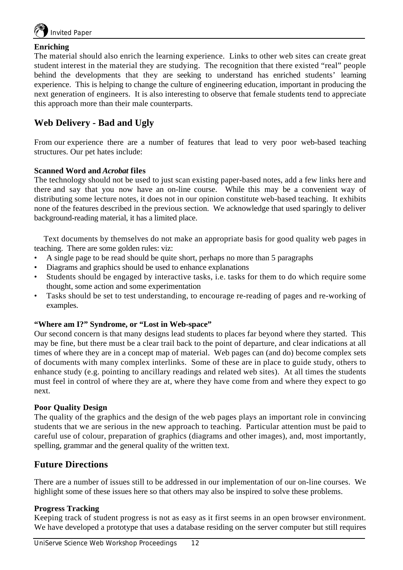

#### **Enriching**

The material should also enrich the learning experience. Links to other web sites can create great student interest in the material they are studying. The recognition that there existed "real" people behind the developments that they are seeking to understand has enriched students' learning experience. This is helping to change the culture of engineering education, important in producing the next generation of engineers. It is also interesting to observe that female students tend to appreciate this approach more than their male counterparts.

# **Web Delivery - Bad and Ugly**

From our experience there are a number of features that lead to very poor web-based teaching structures. Our pet hates include:

#### **Scanned Word and** *Acrobat* **files**

The technology should not be used to just scan existing paper-based notes, add a few links here and there and say that you now have an on-line course. While this may be a convenient way of distributing some lecture notes, it does not in our opinion constitute web-based teaching. It exhibits none of the features described in the previous section. We acknowledge that used sparingly to deliver background-reading material, it has a limited place.

Text documents by themselves do not make an appropriate basis for good quality web pages in teaching. There are some golden rules: viz:

- A single page to be read should be quite short, perhaps no more than 5 paragraphs
- Diagrams and graphics should be used to enhance explanations
- Students should be engaged by interactive tasks, i.e. tasks for them to do which require some thought, some action and some experimentation
- Tasks should be set to test understanding, to encourage re-reading of pages and re-working of examples.

#### **"Where am I?" Syndrome, or "Lost in Web-space"**

Our second concern is that many designs lead students to places far beyond where they started. This may be fine, but there must be a clear trail back to the point of departure, and clear indications at all times of where they are in a concept map of material. Web pages can (and do) become complex sets of documents with many complex interlinks. Some of these are in place to guide study, others to enhance study (e.g. pointing to ancillary readings and related web sites). At all times the students must feel in control of where they are at, where they have come from and where they expect to go next.

#### **Poor Quality Design**

The quality of the graphics and the design of the web pages plays an important role in convincing students that we are serious in the new approach to teaching. Particular attention must be paid to careful use of colour, preparation of graphics (diagrams and other images), and, most importantly, spelling, grammar and the general quality of the written text.

# **Future Directions**

There are a number of issues still to be addressed in our implementation of our on-line courses. We highlight some of these issues here so that others may also be inspired to solve these problems.

#### **Progress Tracking**

Keeping track of student progress is not as easy as it first seems in an open browser environment. We have developed a prototype that uses a database residing on the server computer but still requires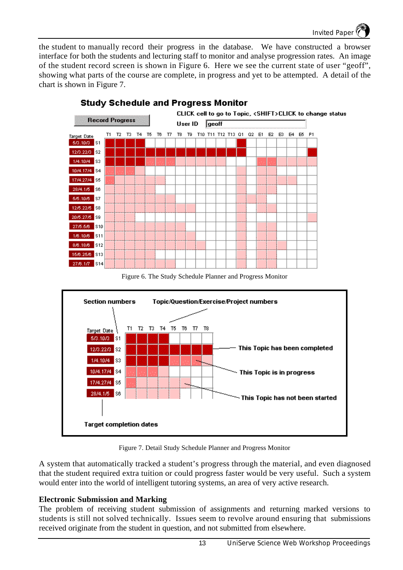the student to manually record their progress in the database. We have constructed a browser interface for both the students and lecturing staff to monitor and analyse progression rates. An image of the student record screen is shown in Figure 6. Here we see the current state of user "geoff", showing what parts of the course are complete, in progress and yet to be attempted. A detail of the chart is shown in Figure 7.



# **Study Schedule and Progress Monitor**

Figure 6. The Study Schedule Planner and Progress Monitor



Figure 7. Detail Study Schedule Planner and Progress Monitor

A system that automatically tracked a student's progress through the material, and even diagnosed that the student required extra tuition or could progress faster would be very useful. Such a system would enter into the world of intelligent tutoring systems, an area of very active research.

# **Electronic Submission and Marking**

The problem of receiving student submission of assignments and returning marked versions to students is still not solved technically. Issues seem to revolve around ensuring that submissions received originate from the student in question, and not submitted from elsewhere.